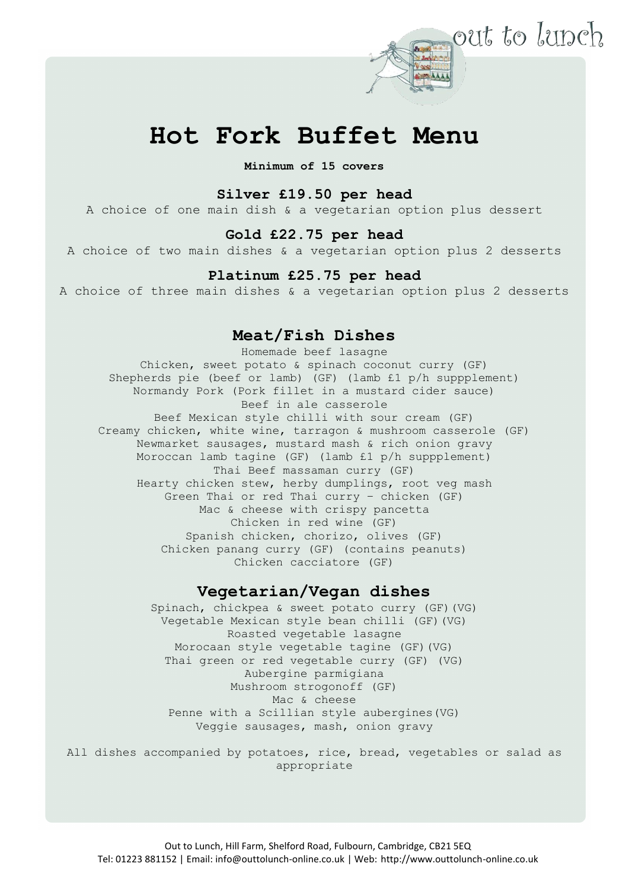

# **Hot Fork Buffet Menu**

**Minimum of 15 covers**

# **Silver £19.50 per head**

A choice of one main dish & a vegetarian option plus dessert

# **Gold £22.75 per head**

A choice of two main dishes & a vegetarian option plus 2 desserts

#### **Platinum £25.75 per head**

A choice of three main dishes & a vegetarian option plus 2 desserts

# **Meat/Fish Dishes**

Homemade beef lasagne Chicken, sweet potato & spinach coconut curry (GF) Shepherds pie (beef or lamb) (GF) (lamb £1 p/h suppplement) Normandy Pork (Pork fillet in a mustard cider sauce) Beef in ale casserole Beef Mexican style chilli with sour cream (GF) Creamy chicken, white wine, tarragon & mushroom casserole (GF) Newmarket sausages, mustard mash & rich onion gravy Moroccan lamb tagine (GF) (lamb £1 p/h suppplement) Thai Beef massaman curry (GF) Hearty chicken stew, herby dumplings, root veg mash Green Thai or red Thai curry – chicken (GF) Mac & cheese with crispy pancetta Chicken in red wine (GF) Spanish chicken, chorizo, olives (GF) Chicken panang curry (GF) (contains peanuts) Chicken cacciatore (GF)

## **Vegetarian/Vegan dishes**

Spinach, chickpea & sweet potato curry (GF)(VG) Vegetable Mexican style bean chilli (GF)(VG) Roasted vegetable lasagne Morocaan style vegetable tagine (GF)(VG) Thai green or red vegetable curry (GF) (VG) Aubergine parmigiana Mushroom strogonoff (GF) Mac & cheese Penne with a Scillian style aubergines(VG) Veggie sausages, mash, onion gravy

All dishes accompanied by potatoes, rice, bread, vegetables or salad as appropriate